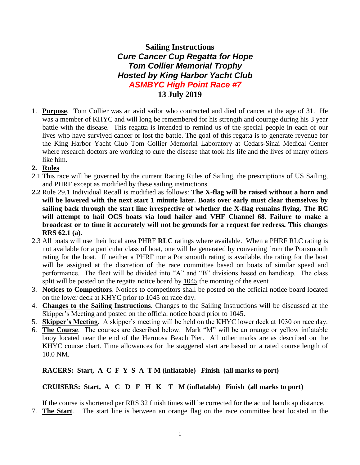## **Sailing Instructions** *Cure Cancer Cup Regatta for Hope Tom Collier Memorial Trophy Hosted by King Harbor Yacht Club ASMBYC High Point Race #7* **13 July 2019**

- 1. **Purpose**. Tom Collier was an avid sailor who contracted and died of cancer at the age of 31. He was a member of KHYC and will long be remembered for his strength and courage during his 3 year battle with the disease. This regatta is intended to remind us of the special people in each of our lives who have survived cancer or lost the battle. The goal of this regatta is to generate revenue for the King Harbor Yacht Club Tom Collier Memorial Laboratory at Cedars-Sinai Medical Center where research doctors are working to cure the disease that took his life and the lives of many others like him.
- **2. Rules**
- 2.1 This race will be governed by the current Racing Rules of Sailing, the prescriptions of US Sailing, and PHRF except as modified by these sailing instructions.
- **2.2** Rule 29.1 Individual Recall is modified as follows: **The X-flag will be raised without a horn and will be lowered with the next start 1 minute later. Boats over early must clear themselves by sailing back through the start line irrespective of whether the X-flag remains flying. The RC will attempt to hail OCS boats via loud hailer and VHF Channel 68. Failure to make a broadcast or to time it accurately will not be grounds for a request for redress. This changes RRS 62.1 (a).**
- 2.3 All boats will use their local area PHRF **RLC** ratings where available. When a PHRF RLC rating is not available for a particular class of boat, one will be generated by converting from the Portsmouth rating for the boat. If neither a PHRF nor a Portsmouth rating is available, the rating for the boat will be assigned at the discretion of the race committee based on boats of similar speed and performance. The fleet will be divided into "A" and "B" divisions based on handicap. The class split will be posted on the regatta notice board by 1045 the morning of the event
- 3. **Notices to Competitors**. Notices to competitors shall be posted on the official notice board located on the lower deck at KHYC prior to 1045 on race day.
- 4. **Changes to the Sailing Instructions**. Changes to the Sailing Instructions will be discussed at the Skipper's Meeting and posted on the official notice board prior to 1045.
- 5. **Skipper's Meeting**. A skipper's meeting will be held on the KHYC lower deck at 1030 on race day.
- 6. **The Course**. The courses are described below. Mark "M" will be an orange or yellow inflatable buoy located near the end of the Hermosa Beach Pier. All other marks are as described on the KHYC course chart. Time allowances for the staggered start are based on a rated course length of 10.0 NM.

#### **RACERS: Start, A C F Y S A T M (inflatable) Finish (all marks to port)**

#### **CRUISERS: Start, A C D F H K T M (inflatable) Finish (all marks to port)**

If the course is shortened per RRS 32 finish times will be corrected for the actual handicap distance.

7. **The Start**. The start line is between an orange flag on the race committee boat located in the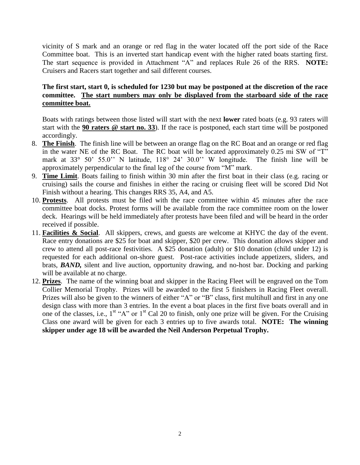vicinity of S mark and an orange or red flag in the water located off the port side of the Race Committee boat. This is an inverted start handicap event with the higher rated boats starting first. The start sequence is provided in Attachment "A" and replaces Rule 26 of the RRS. **NOTE:** Cruisers and Racers start together and sail different courses.

### **The first start, start 0, is scheduled for 1230 but may be postponed at the discretion of the race committee. The start numbers may only be displayed from the starboard side of the race committee boat.**

Boats with ratings between those listed will start with the next **lower** rated boats (e.g. 93 raters will start with the **90 raters @ start no. 33**). If the race is postponed, each start time will be postponed accordingly.

- 8. **The Finish**. The finish line will be between an orange flag on the RC Boat and an orange or red flag in the water NE of the RC Boat. The RC boat will be located approximately 0.25 mi SW of "T" mark at 33° 50' 55.0'' N latitude, 118° 24' 30.0'' W longitude. The finish line will be approximately perpendicular to the final leg of the course from "M" mark.
- 9. **Time Limit**. Boats failing to finish within 30 min after the first boat in their class (e.g. racing or cruising) sails the course and finishes in either the racing or cruising fleet will be scored Did Not Finish without a hearing. This changes RRS 35, A4, and A5.
- 10. **Protests**. All protests must be filed with the race committee within 45 minutes after the race committee boat docks. Protest forms will be available from the race committee room on the lower deck. Hearings will be held immediately after protests have been filed and will be heard in the order received if possible.
- 11. **Facilities & Social**. All skippers, crews, and guests are welcome at KHYC the day of the event. Race entry donations are \$25 for boat and skipper, \$20 per crew. This donation allows skipper and crew to attend all post-race festivities. A \$25 donation (adult) or \$10 donation (child under 12) is requested for each additional on-shore guest. Post-race activities include appetizers, sliders, and brats, *BAND,* silent and live auction, opportunity drawing, and no-host bar. Docking and parking will be available at no charge.
- 12. **Prizes**. The name of the winning boat and skipper in the Racing Fleet will be engraved on the Tom Collier Memorial Trophy. Prizes will be awarded to the first 5 finishers in Racing Fleet overall. Prizes will also be given to the winners of either "A" or "B" class, first multihull and first in any one design class with more than 3 entries. In the event a boat places in the first five boats overall and in one of the classes, i.e.,  $1^{st}$  "A" or  $1^{st}$  Cal 20 to finish, only one prize will be given. For the Cruising Class one award will be given for each 3 entries up to five awards total. **NOTE: The winning skipper under age 18 will be awarded the Neil Anderson Perpetual Trophy.**